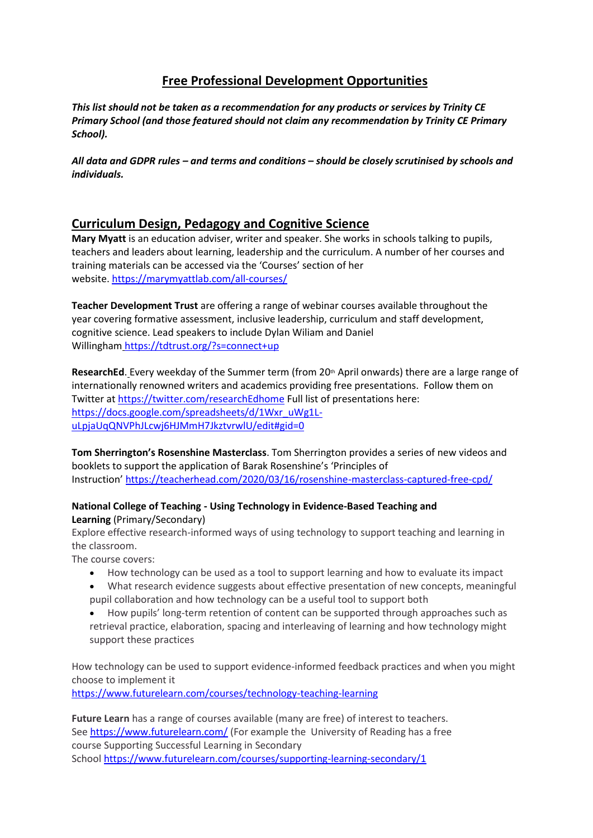# **Free Professional Development Opportunities**

*This list should not be taken as a recommendation for any products or services by Trinity CE Primary School (and those featured should not claim any recommendation by Trinity CE Primary School).*

*All data and GDPR rules – and terms and conditions – should be closely scrutinised by schools and individuals.*

### **Curriculum Design, Pedagogy and Cognitive Science**

**Mary Myatt** is an education adviser, writer and speaker. She works in schools talking to pupils, teachers and leaders about learning, leadership and the curriculum. A number of her courses and training materials can be accessed via the 'Courses' section of her website. <https://marymyattlab.com/all-courses/>

**Teacher Development Trust** are offering a range of webinar courses available throughout the year covering formative assessment, inclusive leadership, curriculum and staff development, cognitive science. Lead speakers to include Dylan Wiliam and Daniel Willingham <https://tdtrust.org/?s=connect+up>

ResearchEd. Every weekday of the Summer term (from 20<sup>th</sup> April onwards) there are a large range of internationally renowned writers and academics providing free presentations. Follow them on Twitter at <https://twitter.com/researchEdhome> Full list of presentations here: [https://docs.google.com/spreadsheets/d/1Wxr\\_uWg1L](https://docs.google.com/spreadsheets/d/1Wxr_uWg1L-uLpjaUqQNVPhJLcwj6HJMmH7JkztvrwlU/edit#gid=0)[uLpjaUqQNVPhJLcwj6HJMmH7JkztvrwlU/edit#gid=0](https://docs.google.com/spreadsheets/d/1Wxr_uWg1L-uLpjaUqQNVPhJLcwj6HJMmH7JkztvrwlU/edit#gid=0)

**Tom Sherrington's Rosenshine Masterclass**. Tom Sherrington provides a series of new videos and booklets to support the application of Barak Rosenshine's 'Principles of Instruction' <https://teacherhead.com/2020/03/16/rosenshine-masterclass-captured-free-cpd/>

#### **National College of Teaching - Using Technology in Evidence-Based Teaching and Learning** (Primary/Secondary)

Explore effective research-informed ways of using technology to support teaching and learning in the classroom.

The course covers:

- How technology can be used as a tool to support learning and how to evaluate its impact
- What research evidence suggests about effective presentation of new concepts, meaningful pupil collaboration and how technology can be a useful tool to support both
- How pupils' long-term retention of content can be supported through approaches such as retrieval practice, elaboration, spacing and interleaving of learning and how technology might support these practices

How technology can be used to support evidence-informed feedback practices and when you might choose to implement it

<https://www.futurelearn.com/courses/technology-teaching-learning>

**Future Learn** has a range of courses available (many are free) of interest to teachers. See <https://www.futurelearn.com/> (For example the University of Reading has a free course Supporting Successful Learning in Secondary School <https://www.futurelearn.com/courses/supporting-learning-secondary/1>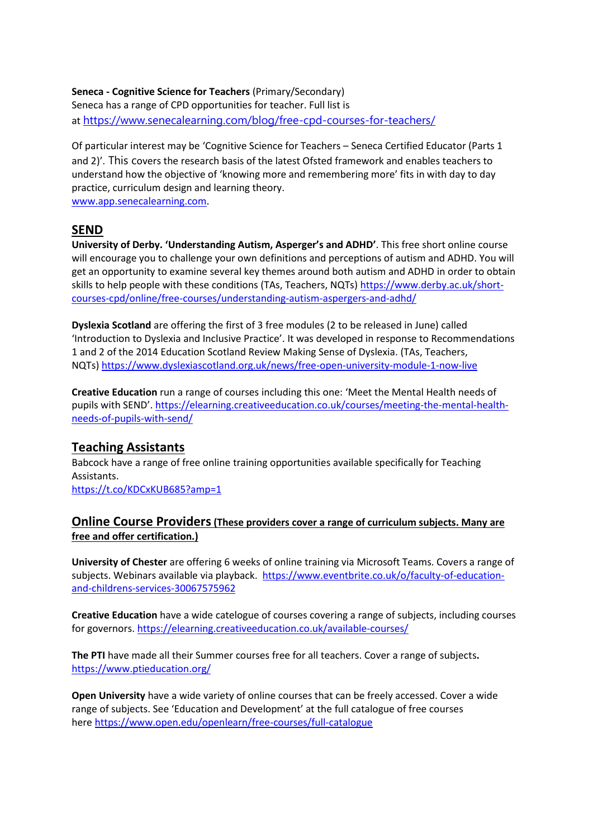**Seneca - Cognitive Science for Teachers** (Primary/Secondary) Seneca has a range of CPD opportunities for teacher. Full list is at <https://www.senecalearning.com/blog/free-cpd-courses-for-teachers/>

Of particular interest may be 'Cognitive Science for Teachers – Seneca Certified Educator (Parts 1 and 2)'. This covers the research basis of the latest Ofsted framework and enables teachers to understand how the objective of 'knowing more and remembering more' fits in with day to day practice, curriculum design and learning theory. [www.app.senecalearning.com.](http://www.app.senecalearning.com/)

### **SEND**

**University of Derby. 'Understanding Autism, Asperger's and ADHD'**. This free short online course will encourage you to challenge your own definitions and perceptions of autism and ADHD. You will get an opportunity to examine several key themes around both autism and ADHD in order to obtain skills to help people with these conditions (TAs, Teachers, NQTs) [https://www.derby.ac.uk/short](https://www.derby.ac.uk/short-courses-cpd/online/free-courses/understanding-autism-aspergers-and-adhd/)[courses-cpd/online/free-courses/understanding-autism-aspergers-and-adhd/](https://www.derby.ac.uk/short-courses-cpd/online/free-courses/understanding-autism-aspergers-and-adhd/)

**Dyslexia Scotland** are offering the first of 3 free modules (2 to be released in June) called 'Introduction to Dyslexia and Inclusive Practice'. It was developed in response to Recommendations 1 and 2 of the 2014 Education Scotland Review Making Sense of Dyslexia. (TAs, Teachers, NQTs) <https://www.dyslexiascotland.org.uk/news/free-open-university-module-1-now-live>

**Creative Education** run a range of courses including this one: 'Meet the Mental Health needs of pupils with SEND'. [https://elearning.creativeeducation.co.uk/courses/meeting-the-mental-health](https://elearning.creativeeducation.co.uk/courses/meeting-the-mental-health-needs-of-pupils-with-send/)[needs-of-pupils-with-send/](https://elearning.creativeeducation.co.uk/courses/meeting-the-mental-health-needs-of-pupils-with-send/)

## **Teaching Assistants**

Babcock have a range of free online training opportunities available specifically for Teaching Assistants.

<https://t.co/KDCxKUB685?amp=1>

#### **Online Course Providers(These providers cover a range of curriculum subjects. Many are free and offer certification.)**

**University of Chester** are offering 6 weeks of online training via Microsoft Teams. Covers a range of subjects. Webinars available via playback. [https://www.eventbrite.co.uk/o/faculty-of-education](https://www.eventbrite.co.uk/o/faculty-of-education-and-childrens-services-30067575962)[and-childrens-services-30067575962](https://www.eventbrite.co.uk/o/faculty-of-education-and-childrens-services-30067575962)

**Creative Education** have a wide catelogue of courses covering a range of subjects, including courses for governors. <https://elearning.creativeeducation.co.uk/available-courses/>

**The PTI** have made all their Summer courses free for all teachers. Cover a range of subjects**.** <https://www.ptieducation.org/>

**Open University** have a wide variety of online courses that can be freely accessed. Cover a wide range of subjects. See 'Education and Development' at the full catalogue of free courses here <https://www.open.edu/openlearn/free-courses/full-catalogue>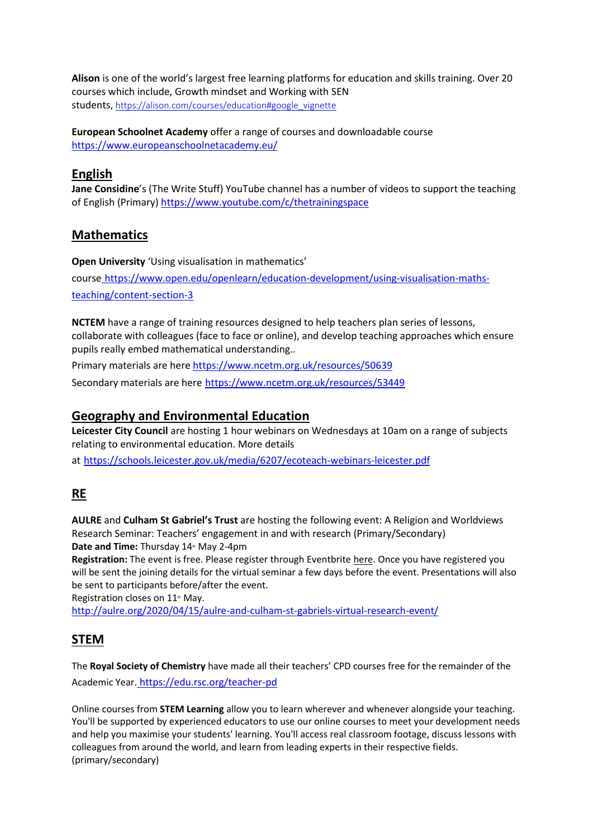**Alison** is one of the world's largest free learning platforms for education and skills training. Over 20 courses which include, Growth mindset and Working with SEN students, [https://alison.com/courses/education#google\\_vignette](https://alison.com/courses/education#google_vignette)

**European Schoolnet Academy** offer a range of courses and downloadable course <https://www.europeanschoolnetacademy.eu/>

## **English**

**Jane Considine**'s (The Write Stuff) YouTube channel has a number of videos to support the teaching of English (Primary) <https://www.youtube.com/c/thetrainingspace>

# **Mathematics**

**Open University** 'Using visualisation in mathematics' course [https://www.open.edu/openlearn/education-development/using-visualisation-maths](https://www.open.edu/openlearn/education-development/using-visualisation-maths-teaching/content-section-3)[teaching/content-section-3](https://www.open.edu/openlearn/education-development/using-visualisation-maths-teaching/content-section-3)

**NCTEM** have a range of training resources designed to help teachers plan series of lessons, collaborate with colleagues (face to face or online), and develop teaching approaches which ensure pupils really embed mathematical understanding..

Primary materials are here <https://www.ncetm.org.uk/resources/50639>

Secondary materials are here <https://www.ncetm.org.uk/resources/53449>

# **Geography and Environmental Education**

**Leicester City Council** are hosting 1 hour webinars on Wednesdays at 10am on a range of subjects relating to environmental education. More details

at [https://schools.leicester.gov.uk/media/6207/ecoteach-webinars-leicester.pdf](https://t.co/8dGqvu3r8p?amp=1)

# **RE**

**AULRE** and **Culham St Gabriel's Trust** are hosting the following event: A Religion and Worldviews Research Seminar: Teachers' engagement in and with research (Primary/Secondary) Date and Time: Thursday 14<sup>th</sup> May 2-4pm

**Registration:** The event is free. Please register through Eventbrite [here](https://www.eventbrite.co.uk/e/aulre-and-culham-st-gabriels-virtual-research-event-registration-102772433114). Once you have registered you will be sent the joining details for the virtual seminar a few days before the event. Presentations will also be sent to participants before/after the event.

Registration closes on 11<sup>th</sup> May.

<http://aulre.org/2020/04/15/aulre-and-culham-st-gabriels-virtual-research-event/>

## **STEM**

The **Royal Society of Chemistry** have made all their teachers' CPD courses free for the remainder of the Academic Year. <https://edu.rsc.org/teacher-pd>

Online courses from **STEM Learning** allow you to learn wherever and whenever alongside your teaching. You'll be supported by experienced educators to use our online courses to meet your development needs and help you maximise your students' learning. You'll access real classroom footage, discuss lessons with colleagues from around the world, and learn from leading experts in their respective fields. (primary/secondary)